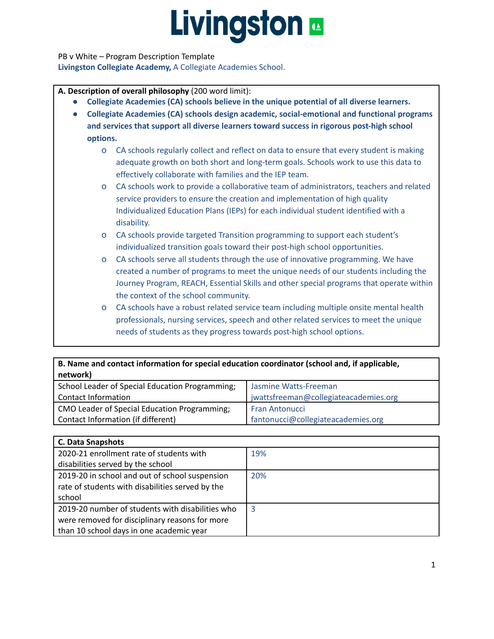PB v White – Program Description Template **Livingston Collegiate Academy,** A Collegiate Academies School.

**A. Description of overall philosophy** (200 word limit):

- **● Collegiate Academies (CA) schools believe in the unique potential of all diverse learners.**
- **● Collegiate Academies (CA) schools design academic, social-emotional and functional programs and services that support all diverse learners toward success in rigorous post-high school options.**
	- o CA schools regularly collect and reflect on data to ensure that every student is making adequate growth on both short and long-term goals. Schools work to use this data to effectively collaborate with families and the IEP team.
	- o CA schools work to provide a collaborative team of administrators, teachers and related service providers to ensure the creation and implementation of high quality Individualized Education Plans (IEPs) for each individual student identified with a disability.
	- o CA schools provide targeted Transition programming to support each student's individualized transition goals toward their post-high school opportunities.
	- o CA schools serve all students through the use of innovative programming. We have created a number of programs to meet the unique needs of our students including the Journey Program, REACH, Essential Skills and other special programs that operate within the context of the school community.
	- o CA schools have a robust related service team including multiple onsite mental health professionals, nursing services, speech and other related services to meet the unique needs of students as they progress towards post-high school options.

| B. Name and contact information for special education coordinator (school and, if applicable,<br>network) |                                       |  |
|-----------------------------------------------------------------------------------------------------------|---------------------------------------|--|
| School Leader of Special Education Programming;                                                           | Jasmine Watts-Freeman                 |  |
| Contact Information                                                                                       | jwattsfreeman@collegiateacademies.org |  |
| CMO Leader of Special Education Programming;                                                              | <b>Fran Antonucci</b>                 |  |
| Contact Information (if different)                                                                        | fantonucci@collegiateacademies.org    |  |

| <b>C. Data Snapshots</b>                         |     |  |
|--------------------------------------------------|-----|--|
| 2020-21 enrollment rate of students with         | 19% |  |
| disabilities served by the school                |     |  |
| 2019-20 in school and out of school suspension   | 20% |  |
| rate of students with disabilities served by the |     |  |
| school                                           |     |  |
| 2019-20 number of students with disabilities who | 3   |  |
| were removed for disciplinary reasons for more   |     |  |
| than 10 school days in one academic year         |     |  |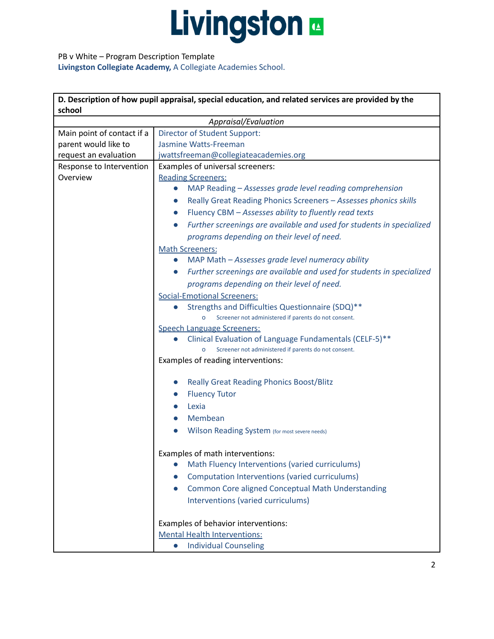PB v White – Program Description Template **Livingston Collegiate Academy,** A Collegiate Academies School.

| D. Description of how pupil appraisal, special education, and related services are provided by the |                                                                                                                                  |  |  |  |
|----------------------------------------------------------------------------------------------------|----------------------------------------------------------------------------------------------------------------------------------|--|--|--|
| school                                                                                             |                                                                                                                                  |  |  |  |
| Main point of contact if a                                                                         | Appraisal/Evaluation<br>Director of Student Support:                                                                             |  |  |  |
| parent would like to                                                                               | Jasmine Watts-Freeman                                                                                                            |  |  |  |
| request an evaluation                                                                              | jwattsfreeman@collegiateacademies.org                                                                                            |  |  |  |
| Response to Intervention                                                                           | Examples of universal screeners:                                                                                                 |  |  |  |
| Overview                                                                                           | <b>Reading Screeners:</b>                                                                                                        |  |  |  |
|                                                                                                    | MAP Reading - Assesses grade level reading comprehension<br>$\bullet$                                                            |  |  |  |
|                                                                                                    | Really Great Reading Phonics Screeners - Assesses phonics skills<br>$\bullet$                                                    |  |  |  |
|                                                                                                    | Fluency CBM - Assesses ability to fluently read texts<br>$\bullet$                                                               |  |  |  |
|                                                                                                    | Further screenings are available and used for students in specialized<br>$\bullet$                                               |  |  |  |
|                                                                                                    | programs depending on their level of need.                                                                                       |  |  |  |
|                                                                                                    |                                                                                                                                  |  |  |  |
|                                                                                                    | <b>Math Screeners:</b><br>MAP Math - Assesses grade level numeracy ability<br>$\bullet$                                          |  |  |  |
|                                                                                                    | Further screenings are available and used for students in specialized<br>$\bullet$                                               |  |  |  |
|                                                                                                    |                                                                                                                                  |  |  |  |
|                                                                                                    | programs depending on their level of need.                                                                                       |  |  |  |
|                                                                                                    | <b>Social-Emotional Screeners:</b>                                                                                               |  |  |  |
|                                                                                                    | Strengths and Difficulties Questionnaire (SDQ)**<br>$\bullet$<br>Screener not administered if parents do not consent.<br>$\circ$ |  |  |  |
|                                                                                                    | <b>Speech Language Screeners:</b>                                                                                                |  |  |  |
|                                                                                                    | Clinical Evaluation of Language Fundamentals (CELF-5)**                                                                          |  |  |  |
|                                                                                                    | Screener not administered if parents do not consent.                                                                             |  |  |  |
|                                                                                                    | Examples of reading interventions:                                                                                               |  |  |  |
|                                                                                                    | <b>Really Great Reading Phonics Boost/Blitz</b><br>$\bullet$                                                                     |  |  |  |
|                                                                                                    | <b>Fluency Tutor</b><br>$\bullet$                                                                                                |  |  |  |
|                                                                                                    | Lexia                                                                                                                            |  |  |  |
|                                                                                                    | Membean                                                                                                                          |  |  |  |
|                                                                                                    |                                                                                                                                  |  |  |  |
|                                                                                                    | Wilson Reading System (for most severe needs)                                                                                    |  |  |  |
|                                                                                                    | Examples of math interventions:                                                                                                  |  |  |  |
|                                                                                                    | Math Fluency Interventions (varied curriculums)<br>$\bullet$                                                                     |  |  |  |
|                                                                                                    | Computation Interventions (varied curriculums)<br>$\bullet$                                                                      |  |  |  |
|                                                                                                    | <b>Common Core aligned Conceptual Math Understanding</b><br>$\bullet$                                                            |  |  |  |
|                                                                                                    | Interventions (varied curriculums)                                                                                               |  |  |  |
|                                                                                                    | Examples of behavior interventions:                                                                                              |  |  |  |
|                                                                                                    | <b>Mental Health Interventions:</b>                                                                                              |  |  |  |
|                                                                                                    | <b>Individual Counseling</b><br>$\bullet$                                                                                        |  |  |  |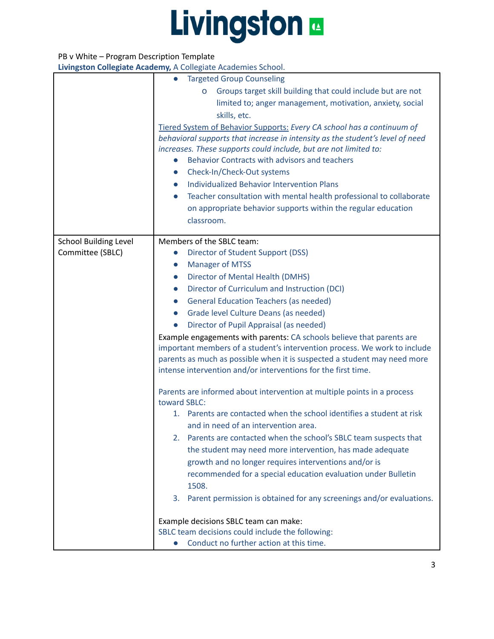### PB v White – Program Description Template

|                              | <b>Targeted Group Counseling</b>                                                                         |
|------------------------------|----------------------------------------------------------------------------------------------------------|
|                              | Groups target skill building that could include but are not<br>o                                         |
|                              | limited to; anger management, motivation, anxiety, social                                                |
|                              | skills, etc.                                                                                             |
|                              | Tiered System of Behavior Supports: Every CA school has a continuum of                                   |
|                              | behavioral supports that increase in intensity as the student's level of need                            |
|                              | increases. These supports could include, but are not limited to:                                         |
|                              | Behavior Contracts with advisors and teachers                                                            |
|                              | Check-In/Check-Out systems<br>$\bullet$                                                                  |
|                              | <b>Individualized Behavior Intervention Plans</b>                                                        |
|                              | Teacher consultation with mental health professional to collaborate                                      |
|                              | on appropriate behavior supports within the regular education                                            |
|                              | classroom.                                                                                               |
|                              |                                                                                                          |
| <b>School Building Level</b> | Members of the SBLC team:                                                                                |
| Committee (SBLC)             | Director of Student Support (DSS)<br>$\bullet$                                                           |
|                              | <b>Manager of MTSS</b><br>$\bullet$                                                                      |
|                              | Director of Mental Health (DMHS)<br>$\bullet$                                                            |
|                              | Director of Curriculum and Instruction (DCI)<br>$\bullet$                                                |
|                              | <b>General Education Teachers (as needed)</b><br>$\bullet$                                               |
|                              | Grade level Culture Deans (as needed)<br>$\bullet$                                                       |
|                              | Director of Pupil Appraisal (as needed)<br>$\bullet$                                                     |
|                              | Example engagements with parents: CA schools believe that parents are                                    |
|                              | important members of a student's intervention process. We work to include                                |
|                              | parents as much as possible when it is suspected a student may need more                                 |
|                              | intense intervention and/or interventions for the first time.                                            |
|                              |                                                                                                          |
|                              | Parents are informed about intervention at multiple points in a process                                  |
|                              | toward SBLC:                                                                                             |
|                              | 1. Parents are contacted when the school identifies a student at risk                                    |
|                              | and in need of an intervention area.                                                                     |
|                              | Parents are contacted when the school's SBLC team suspects that<br>2.                                    |
|                              | the student may need more intervention, has made adequate                                                |
|                              | growth and no longer requires interventions and/or is                                                    |
|                              | recommended for a special education evaluation under Bulletin                                            |
|                              | 1508.                                                                                                    |
|                              | Parent permission is obtained for any screenings and/or evaluations.<br>3.                               |
|                              |                                                                                                          |
|                              | Example decisions SBLC team can make:                                                                    |
|                              | SBLC team decisions could include the following:<br>Conduct no further action at this time.<br>$\bullet$ |
|                              |                                                                                                          |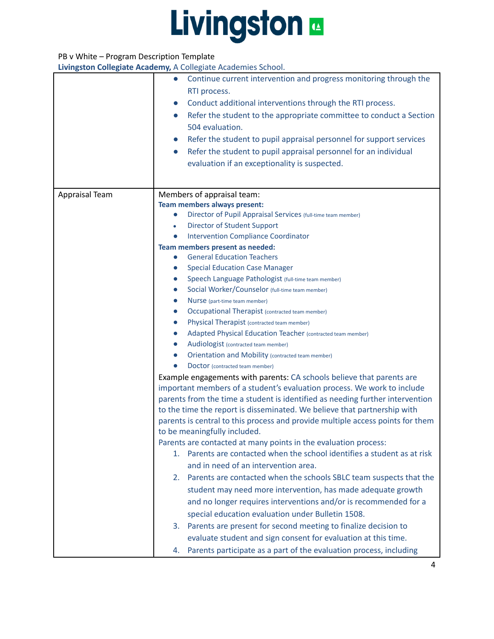#### PB v White – Program Description Template

|                | $\frac{1}{2}$ . New example, $\frac{1}{2}$ , $\frac{1}{2}$ . So the grace $\frac{1}{2}$ readers the solid subset |  |
|----------------|------------------------------------------------------------------------------------------------------------------|--|
|                | Continue current intervention and progress monitoring through the<br>$\bullet$                                   |  |
|                | RTI process.                                                                                                     |  |
|                | Conduct additional interventions through the RTI process.<br>$\bullet$                                           |  |
|                | Refer the student to the appropriate committee to conduct a Section<br>$\bullet$                                 |  |
|                | 504 evaluation.                                                                                                  |  |
|                | Refer the student to pupil appraisal personnel for support services<br>$\bullet$                                 |  |
|                | Refer the student to pupil appraisal personnel for an individual<br>$\bullet$                                    |  |
|                | evaluation if an exceptionality is suspected.                                                                    |  |
|                |                                                                                                                  |  |
|                |                                                                                                                  |  |
| Appraisal Team | Members of appraisal team:                                                                                       |  |
|                | <b>Team members always present:</b>                                                                              |  |
|                | Director of Pupil Appraisal Services (full-time team member)<br>$\bullet$                                        |  |
|                | <b>Director of Student Support</b><br>$\bullet$                                                                  |  |
|                | <b>Intervention Compliance Coordinator</b><br>$\bullet$                                                          |  |
|                | Team members present as needed:                                                                                  |  |
|                | <b>General Education Teachers</b><br>$\bullet$                                                                   |  |
|                | <b>Special Education Case Manager</b><br>$\bullet$                                                               |  |
|                | Speech Language Pathologist (full-time team member)<br>$\bullet$                                                 |  |
|                | Social Worker/Counselor (full-time team member)<br>$\bullet$                                                     |  |
|                | Nurse (part-time team member)<br>$\bullet$                                                                       |  |
|                | <b>Occupational Therapist (contracted team member)</b><br>$\bullet$                                              |  |
|                | Physical Therapist (contracted team member)<br>$\bullet$                                                         |  |
|                | Adapted Physical Education Teacher (contracted team member)<br>$\bullet$                                         |  |
|                | Audiologist (contracted team member)<br>$\bullet$                                                                |  |
|                | <b>Orientation and Mobility (contracted team member)</b><br>$\bullet$                                            |  |
|                | Doctor (contracted team member)                                                                                  |  |
|                | Example engagements with parents: CA schools believe that parents are                                            |  |
|                | important members of a student's evaluation process. We work to include                                          |  |
|                | parents from the time a student is identified as needing further intervention                                    |  |
|                | to the time the report is disseminated. We believe that partnership with                                         |  |
|                | parents is central to this process and provide multiple access points for them                                   |  |
|                | to be meaningfully included.                                                                                     |  |
|                | Parents are contacted at many points in the evaluation process:                                                  |  |
|                | Parents are contacted when the school identifies a student as at risk<br>1.                                      |  |
|                | and in need of an intervention area.                                                                             |  |
|                | Parents are contacted when the schools SBLC team suspects that the<br>2.                                         |  |
|                | student may need more intervention, has made adequate growth                                                     |  |
|                | and no longer requires interventions and/or is recommended for a                                                 |  |
|                | special education evaluation under Bulletin 1508.                                                                |  |
|                | Parents are present for second meeting to finalize decision to<br>3.                                             |  |
|                | evaluate student and sign consent for evaluation at this time.                                                   |  |
|                | Parents participate as a part of the evaluation process, including<br>4.                                         |  |
|                |                                                                                                                  |  |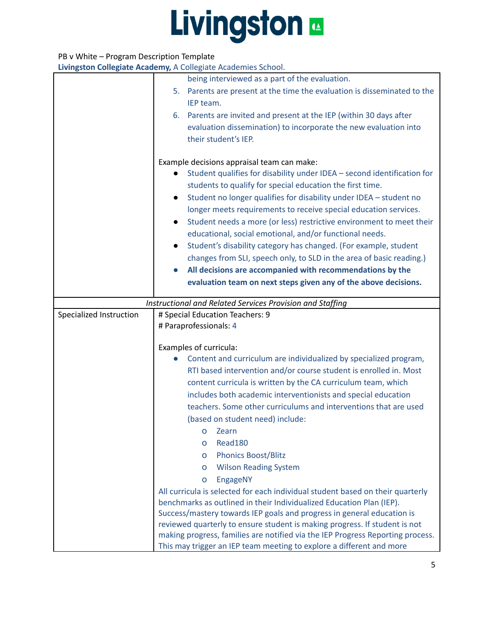#### PB v White – Program Description Template

|                         | being interviewed as a part of the evaluation.                                 |  |
|-------------------------|--------------------------------------------------------------------------------|--|
|                         | 5. Parents are present at the time the evaluation is disseminated to the       |  |
|                         | IEP team.                                                                      |  |
|                         | 6. Parents are invited and present at the IEP (within 30 days after            |  |
|                         | evaluation dissemination) to incorporate the new evaluation into               |  |
|                         | their student's IEP.                                                           |  |
|                         |                                                                                |  |
|                         | Example decisions appraisal team can make:                                     |  |
|                         | Student qualifies for disability under IDEA - second identification for        |  |
|                         | students to qualify for special education the first time.                      |  |
|                         | Student no longer qualifies for disability under IDEA - student no             |  |
|                         | longer meets requirements to receive special education services.               |  |
|                         | Student needs a more (or less) restrictive environment to meet their           |  |
|                         | educational, social emotional, and/or functional needs.                        |  |
|                         | Student's disability category has changed. (For example, student               |  |
|                         | changes from SLI, speech only, to SLD in the area of basic reading.)           |  |
|                         | All decisions are accompanied with recommendations by the                      |  |
|                         | evaluation team on next steps given any of the above decisions.                |  |
|                         |                                                                                |  |
|                         | Instructional and Related Services Provision and Staffing                      |  |
| Specialized Instruction | # Special Education Teachers: 9                                                |  |
|                         | # Paraprofessionals: 4                                                         |  |
|                         | Examples of curricula:                                                         |  |
|                         | Content and curriculum are individualized by specialized program,              |  |
|                         | RTI based intervention and/or course student is enrolled in. Most              |  |
|                         | content curricula is written by the CA curriculum team, which                  |  |
|                         | includes both academic interventionists and special education                  |  |
|                         | teachers. Some other curriculums and interventions that are used               |  |
|                         | (based on student need) include:                                               |  |
|                         | <b>o</b> Zearn                                                                 |  |
|                         | Read180<br>о                                                                   |  |
|                         | <b>Phonics Boost/Blitz</b><br>O                                                |  |
|                         | <b>Wilson Reading System</b><br>O                                              |  |
|                         | EngageNY<br>$\mathsf{o}$                                                       |  |
|                         | All curricula is selected for each individual student based on their quarterly |  |
|                         | benchmarks as outlined in their Individualized Education Plan (IEP).           |  |
|                         | Success/mastery towards IEP goals and progress in general education is         |  |
|                         | reviewed quarterly to ensure student is making progress. If student is not     |  |
|                         | making progress, families are notified via the IEP Progress Reporting process. |  |
|                         | This may trigger an IEP team meeting to explore a different and more           |  |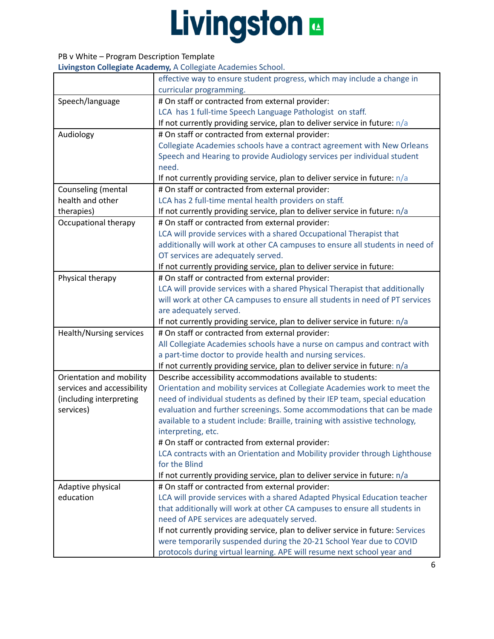#### PB v White – Program Description Template

|                            | effective way to ensure student progress, which may include a change in<br>curricular programming. |  |  |
|----------------------------|----------------------------------------------------------------------------------------------------|--|--|
|                            |                                                                                                    |  |  |
| Speech/language            | # On staff or contracted from external provider:                                                   |  |  |
|                            | LCA has 1 full-time Speech Language Pathologist on staff.                                          |  |  |
|                            | If not currently providing service, plan to deliver service in future: $n/a$                       |  |  |
| Audiology                  | # On staff or contracted from external provider:                                                   |  |  |
|                            | Collegiate Academies schools have a contract agreement with New Orleans                            |  |  |
|                            | Speech and Hearing to provide Audiology services per individual student                            |  |  |
|                            | need.                                                                                              |  |  |
|                            | If not currently providing service, plan to deliver service in future: $n/a$                       |  |  |
| Counseling (mental         | # On staff or contracted from external provider:                                                   |  |  |
| health and other           | LCA has 2 full-time mental health providers on staff.                                              |  |  |
| therapies)                 | If not currently providing service, plan to deliver service in future: n/a                         |  |  |
| Occupational therapy       | # On staff or contracted from external provider:                                                   |  |  |
|                            | LCA will provide services with a shared Occupational Therapist that                                |  |  |
|                            | additionally will work at other CA campuses to ensure all students in need of                      |  |  |
|                            | OT services are adequately served.                                                                 |  |  |
|                            | If not currently providing service, plan to deliver service in future:                             |  |  |
| Physical therapy           | # On staff or contracted from external provider:                                                   |  |  |
|                            | LCA will provide services with a shared Physical Therapist that additionally                       |  |  |
|                            | will work at other CA campuses to ensure all students in need of PT services                       |  |  |
|                            | are adequately served.                                                                             |  |  |
|                            | If not currently providing service, plan to deliver service in future: n/a                         |  |  |
| Health/Nursing services    | # On staff or contracted from external provider:                                                   |  |  |
|                            | All Collegiate Academies schools have a nurse on campus and contract with                          |  |  |
|                            | a part-time doctor to provide health and nursing services.                                         |  |  |
|                            | If not currently providing service, plan to deliver service in future: n/a                         |  |  |
| Orientation and mobility   | Describe accessibility accommodations available to students:                                       |  |  |
| services and accessibility | Orientation and mobility services at Collegiate Academies work to meet the                         |  |  |
| (including interpreting    | need of individual students as defined by their IEP team, special education                        |  |  |
| services)                  | evaluation and further screenings. Some accommodations that can be made                            |  |  |
|                            | available to a student include: Braille, training with assistive technology,                       |  |  |
|                            | interpreting, etc.                                                                                 |  |  |
|                            | # On staff or contracted from external provider:                                                   |  |  |
|                            | LCA contracts with an Orientation and Mobility provider through Lighthouse                         |  |  |
|                            | for the Blind                                                                                      |  |  |
|                            | If not currently providing service, plan to deliver service in future: n/a                         |  |  |
| Adaptive physical          | # On staff or contracted from external provider:                                                   |  |  |
| education                  | LCA will provide services with a shared Adapted Physical Education teacher                         |  |  |
|                            | that additionally will work at other CA campuses to ensure all students in                         |  |  |
|                            | need of APE services are adequately served.                                                        |  |  |
|                            | If not currently providing service, plan to deliver service in future: Services                    |  |  |
|                            | were temporarily suspended during the 20-21 School Year due to COVID                               |  |  |
|                            | protocols during virtual learning. APE will resume next school year and                            |  |  |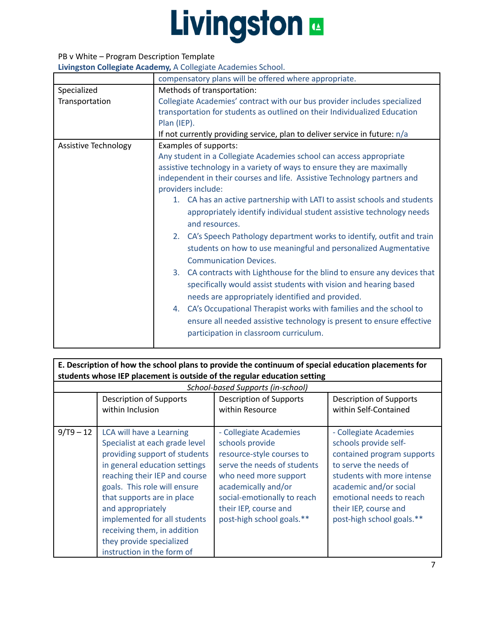### PB v White – Program Description Template

|                      | compensatory plans will be offered where appropriate.                       |  |  |  |
|----------------------|-----------------------------------------------------------------------------|--|--|--|
| Specialized          | Methods of transportation:                                                  |  |  |  |
| Transportation       | Collegiate Academies' contract with our bus provider includes specialized   |  |  |  |
|                      | transportation for students as outlined on their Individualized Education   |  |  |  |
|                      | Plan (IEP).                                                                 |  |  |  |
|                      | If not currently providing service, plan to deliver service in future: n/a  |  |  |  |
| Assistive Technology | Examples of supports:                                                       |  |  |  |
|                      | Any student in a Collegiate Academies school can access appropriate         |  |  |  |
|                      | assistive technology in a variety of ways to ensure they are maximally      |  |  |  |
|                      | independent in their courses and life. Assistive Technology partners and    |  |  |  |
|                      | providers include:                                                          |  |  |  |
|                      | 1. CA has an active partnership with LATI to assist schools and students    |  |  |  |
|                      | appropriately identify individual student assistive technology needs        |  |  |  |
|                      | and resources.                                                              |  |  |  |
|                      | CA's Speech Pathology department works to identify, outfit and train<br>2.  |  |  |  |
|                      | students on how to use meaningful and personalized Augmentative             |  |  |  |
|                      | <b>Communication Devices.</b>                                               |  |  |  |
|                      | 3.<br>CA contracts with Lighthouse for the blind to ensure any devices that |  |  |  |
|                      | specifically would assist students with vision and hearing based            |  |  |  |
|                      | needs are appropriately identified and provided.                            |  |  |  |
|                      | CA's Occupational Therapist works with families and the school to<br>4.     |  |  |  |
|                      | ensure all needed assistive technology is present to ensure effective       |  |  |  |
|                      | participation in classroom curriculum.                                      |  |  |  |
|                      |                                                                             |  |  |  |

| E. Description of how the school plans to provide the continuum of special education placements for<br>students whose IEP placement is outside of the regular education setting |                                             |                                            |                                                  |
|---------------------------------------------------------------------------------------------------------------------------------------------------------------------------------|---------------------------------------------|--------------------------------------------|--------------------------------------------------|
|                                                                                                                                                                                 |                                             |                                            |                                                  |
|                                                                                                                                                                                 | Description of Supports<br>within Inclusion | Description of Supports<br>within Bocourco | Description of Supports<br>within Colf Contained |

|             | within Inclusion                                                                                                                                                                                                                                                                                                                                                          | within Resource                                                                                                                                                                                                                            | within Self-Contained                                                                                                                                                                                                                            |
|-------------|---------------------------------------------------------------------------------------------------------------------------------------------------------------------------------------------------------------------------------------------------------------------------------------------------------------------------------------------------------------------------|--------------------------------------------------------------------------------------------------------------------------------------------------------------------------------------------------------------------------------------------|--------------------------------------------------------------------------------------------------------------------------------------------------------------------------------------------------------------------------------------------------|
| $9/T9 - 12$ | LCA will have a Learning<br>Specialist at each grade level<br>providing support of students<br>in general education settings<br>reaching their IEP and course<br>goals. This role will ensure<br>that supports are in place<br>and appropriately<br>implemented for all students<br>receiving them, in addition<br>they provide specialized<br>instruction in the form of | - Collegiate Academies<br>schools provide<br>resource-style courses to<br>serve the needs of students<br>who need more support<br>academically and/or<br>social-emotionally to reach<br>their IEP, course and<br>post-high school goals.** | - Collegiate Academies<br>schools provide self-<br>contained program supports<br>to serve the needs of<br>students with more intense<br>academic and/or social<br>emotional needs to reach<br>their IEP, course and<br>post-high school goals.** |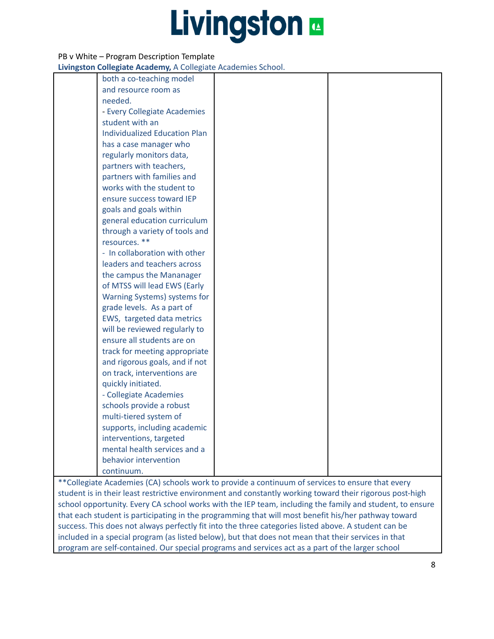#### PB v White – Program Description Template

**Livingston Collegiate Academy,** A Collegiate Academies School.

| both a co-teaching model             |  |
|--------------------------------------|--|
| and resource room as                 |  |
| needed.                              |  |
| - Every Collegiate Academies         |  |
| student with an                      |  |
| <b>Individualized Education Plan</b> |  |
| has a case manager who               |  |
| regularly monitors data,             |  |
| partners with teachers,              |  |
| partners with families and           |  |
| works with the student to            |  |
| ensure success toward IEP            |  |
| goals and goals within               |  |
| general education curriculum         |  |
| through a variety of tools and       |  |
| resources. **                        |  |
| - In collaboration with other        |  |
| leaders and teachers across          |  |
| the campus the Mananager             |  |
| of MTSS will lead EWS (Early         |  |
| Warning Systems) systems for         |  |
| grade levels. As a part of           |  |
| EWS, targeted data metrics           |  |
| will be reviewed regularly to        |  |
| ensure all students are on           |  |
| track for meeting appropriate        |  |
| and rigorous goals, and if not       |  |
| on track, interventions are          |  |
| quickly initiated.                   |  |
| - Collegiate Academies               |  |
| schools provide a robust             |  |
| multi-tiered system of               |  |
| supports, including academic         |  |
| interventions, targeted              |  |
| mental health services and a         |  |
| behavior intervention                |  |
| continuum.                           |  |

\*\*Collegiate Academies (CA) schools work to provide a continuum of services to ensure that every student is in their least restrictive environment and constantly working toward their rigorous post-high school opportunity. Every CA school works with the IEP team, including the family and student, to ensure that each student is participating in the programming that will most benefit his/her pathway toward success. This does not always perfectly fit into the three categories listed above. A student can be included in a special program (as listed below), but that does not mean that their services in that program are self-contained. Our special programs and services act as a part of the larger school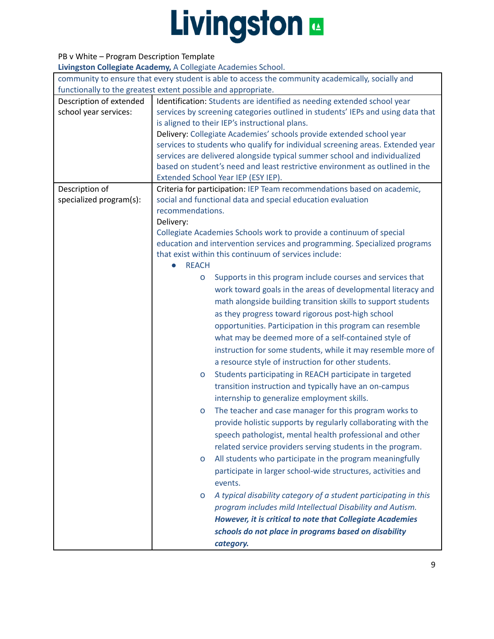### PB v White – Program Description Template

|                         | community to ensure that every student is able to access the community academically, socially and<br>functionally to the greatest extent possible and appropriate. |  |  |
|-------------------------|--------------------------------------------------------------------------------------------------------------------------------------------------------------------|--|--|
| Description of extended | Identification: Students are identified as needing extended school year                                                                                            |  |  |
| school year services:   | services by screening categories outlined in students' IEPs and using data that                                                                                    |  |  |
|                         | is aligned to their IEP's instructional plans.                                                                                                                     |  |  |
|                         |                                                                                                                                                                    |  |  |
|                         | Delivery: Collegiate Academies' schools provide extended school year                                                                                               |  |  |
|                         | services to students who qualify for individual screening areas. Extended year                                                                                     |  |  |
|                         | services are delivered alongside typical summer school and individualized                                                                                          |  |  |
|                         | based on student's need and least restrictive environment as outlined in the                                                                                       |  |  |
|                         | Extended School Year IEP (ESY IEP).                                                                                                                                |  |  |
| Description of          | Criteria for participation: IEP Team recommendations based on academic,                                                                                            |  |  |
| specialized program(s): | social and functional data and special education evaluation<br>recommendations.                                                                                    |  |  |
|                         |                                                                                                                                                                    |  |  |
|                         | Delivery:                                                                                                                                                          |  |  |
|                         | Collegiate Academies Schools work to provide a continuum of special                                                                                                |  |  |
|                         | education and intervention services and programming. Specialized programs<br>that exist within this continuum of services include:                                 |  |  |
|                         | <b>REACH</b>                                                                                                                                                       |  |  |
|                         |                                                                                                                                                                    |  |  |
|                         | Supports in this program include courses and services that<br>O                                                                                                    |  |  |
|                         | work toward goals in the areas of developmental literacy and                                                                                                       |  |  |
|                         | math alongside building transition skills to support students                                                                                                      |  |  |
|                         | as they progress toward rigorous post-high school                                                                                                                  |  |  |
|                         | opportunities. Participation in this program can resemble                                                                                                          |  |  |
|                         | what may be deemed more of a self-contained style of                                                                                                               |  |  |
|                         | instruction for some students, while it may resemble more of                                                                                                       |  |  |
|                         | a resource style of instruction for other students.                                                                                                                |  |  |
|                         | Students participating in REACH participate in targeted<br>O                                                                                                       |  |  |
|                         | transition instruction and typically have an on-campus                                                                                                             |  |  |
|                         |                                                                                                                                                                    |  |  |
|                         | internship to generalize employment skills.                                                                                                                        |  |  |
|                         | The teacher and case manager for this program works to<br>$\mathsf{o}$                                                                                             |  |  |
|                         | provide holistic supports by regularly collaborating with the                                                                                                      |  |  |
|                         | speech pathologist, mental health professional and other                                                                                                           |  |  |
|                         | related service providers serving students in the program.                                                                                                         |  |  |
|                         | All students who participate in the program meaningfully<br>$\mathsf{o}$                                                                                           |  |  |
|                         | participate in larger school-wide structures, activities and                                                                                                       |  |  |
|                         | events.                                                                                                                                                            |  |  |
|                         | A typical disability category of a student participating in this<br>$\mathsf{o}$                                                                                   |  |  |
|                         | program includes mild Intellectual Disability and Autism.                                                                                                          |  |  |
|                         | However, it is critical to note that Collegiate Academies                                                                                                          |  |  |
|                         |                                                                                                                                                                    |  |  |
|                         | schools do not place in programs based on disability                                                                                                               |  |  |
|                         | category.                                                                                                                                                          |  |  |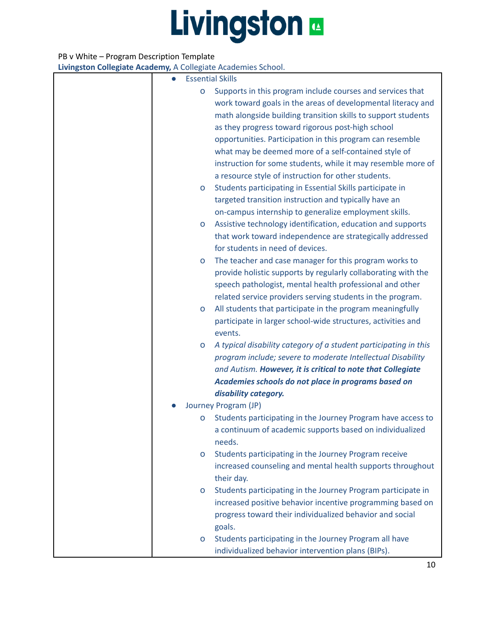#### PB v White – Program Description Template

| $\bullet$ | <b>Essential Skills</b>                                                     |
|-----------|-----------------------------------------------------------------------------|
| O         | Supports in this program include courses and services that                  |
|           | work toward goals in the areas of developmental literacy and                |
|           | math alongside building transition skills to support students               |
|           | as they progress toward rigorous post-high school                           |
|           | opportunities. Participation in this program can resemble                   |
|           | what may be deemed more of a self-contained style of                        |
|           | instruction for some students, while it may resemble more of                |
|           | a resource style of instruction for other students.                         |
| о         | Students participating in Essential Skills participate in                   |
|           | targeted transition instruction and typically have an                       |
|           | on-campus internship to generalize employment skills.                       |
| о         | Assistive technology identification, education and supports                 |
|           | that work toward independence are strategically addressed                   |
|           | for students in need of devices.                                            |
| о         | The teacher and case manager for this program works to                      |
|           | provide holistic supports by regularly collaborating with the               |
|           | speech pathologist, mental health professional and other                    |
|           | related service providers serving students in the program.                  |
| о         | All students that participate in the program meaningfully                   |
|           | participate in larger school-wide structures, activities and                |
|           | events.                                                                     |
| o         | A typical disability category of a student participating in this            |
|           | program include; severe to moderate Intellectual Disability                 |
|           |                                                                             |
|           | and Autism. However, it is critical to note that Collegiate                 |
|           | Academies schools do not place in programs based on<br>disability category. |
|           | Journey Program (JP)                                                        |
|           | Students participating in the Journey Program have access to                |
| o         |                                                                             |
|           | a continuum of academic supports based on individualized                    |
|           | needs.                                                                      |
| $\circ$   | Students participating in the Journey Program receive                       |
|           | increased counseling and mental health supports throughout                  |
|           | their day.                                                                  |
| o         | Students participating in the Journey Program participate in                |
|           | increased positive behavior incentive programming based on                  |
|           | progress toward their individualized behavior and social                    |
|           | goals.                                                                      |
| о         | Students participating in the Journey Program all have                      |
|           | individualized behavior intervention plans (BIPs).                          |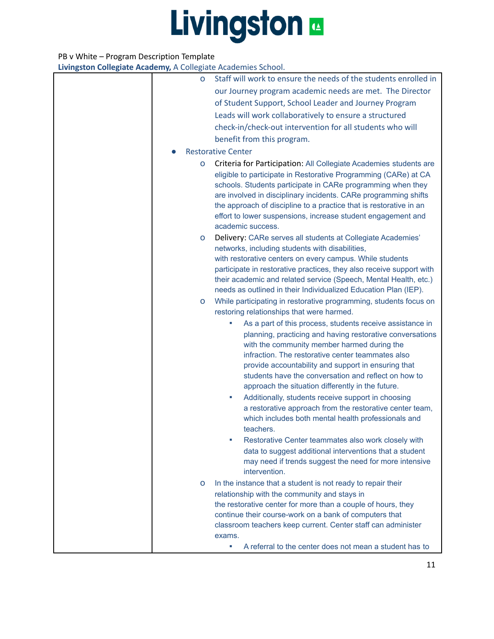#### PB v White – Program Description Template

| 0 | Staff will work to ensure the needs of the students enrolled in                                                                                                                                                                                                                                                                   |
|---|-----------------------------------------------------------------------------------------------------------------------------------------------------------------------------------------------------------------------------------------------------------------------------------------------------------------------------------|
|   | our Journey program academic needs are met. The Director                                                                                                                                                                                                                                                                          |
|   | of Student Support, School Leader and Journey Program                                                                                                                                                                                                                                                                             |
|   | Leads will work collaboratively to ensure a structured                                                                                                                                                                                                                                                                            |
|   | check-in/check-out intervention for all students who will                                                                                                                                                                                                                                                                         |
|   | benefit from this program.                                                                                                                                                                                                                                                                                                        |
|   | <b>Restorative Center</b>                                                                                                                                                                                                                                                                                                         |
| O | Criteria for Participation: All Collegiate Academies students are<br>eligible to participate in Restorative Programming (CARe) at CA                                                                                                                                                                                              |
|   | schools. Students participate in CARe programming when they<br>are involved in disciplinary incidents. CARe programming shifts<br>the approach of discipline to a practice that is restorative in an<br>effort to lower suspensions, increase student engagement and<br>academic success.                                         |
| о | Delivery: CARe serves all students at Collegiate Academies'<br>networks, including students with disabilities,                                                                                                                                                                                                                    |
|   | with restorative centers on every campus. While students<br>participate in restorative practices, they also receive support with<br>their academic and related service (Speech, Mental Health, etc.)<br>needs as outlined in their Individualized Education Plan (IEP).                                                           |
| о | While participating in restorative programming, students focus on                                                                                                                                                                                                                                                                 |
|   | restoring relationships that were harmed.                                                                                                                                                                                                                                                                                         |
|   | As a part of this process, students receive assistance in                                                                                                                                                                                                                                                                         |
|   | planning, practicing and having restorative conversations<br>with the community member harmed during the<br>infraction. The restorative center teammates also<br>provide accountability and support in ensuring that<br>students have the conversation and reflect on how to<br>approach the situation differently in the future. |
|   | Additionally, students receive support in choosing<br>ш<br>a restorative approach from the restorative center team,<br>which includes both mental health professionals and<br>teachers.                                                                                                                                           |
|   | Restorative Center teammates also work closely with<br>data to suggest additional interventions that a student<br>may need if trends suggest the need for more intensive<br>intervention.                                                                                                                                         |
| O | In the instance that a student is not ready to repair their                                                                                                                                                                                                                                                                       |
|   | relationship with the community and stays in                                                                                                                                                                                                                                                                                      |
|   | the restorative center for more than a couple of hours, they<br>continue their course-work on a bank of computers that                                                                                                                                                                                                            |
|   | classroom teachers keep current. Center staff can administer<br>exams.                                                                                                                                                                                                                                                            |
|   | A referral to the center does not mean a student has to<br>ш                                                                                                                                                                                                                                                                      |